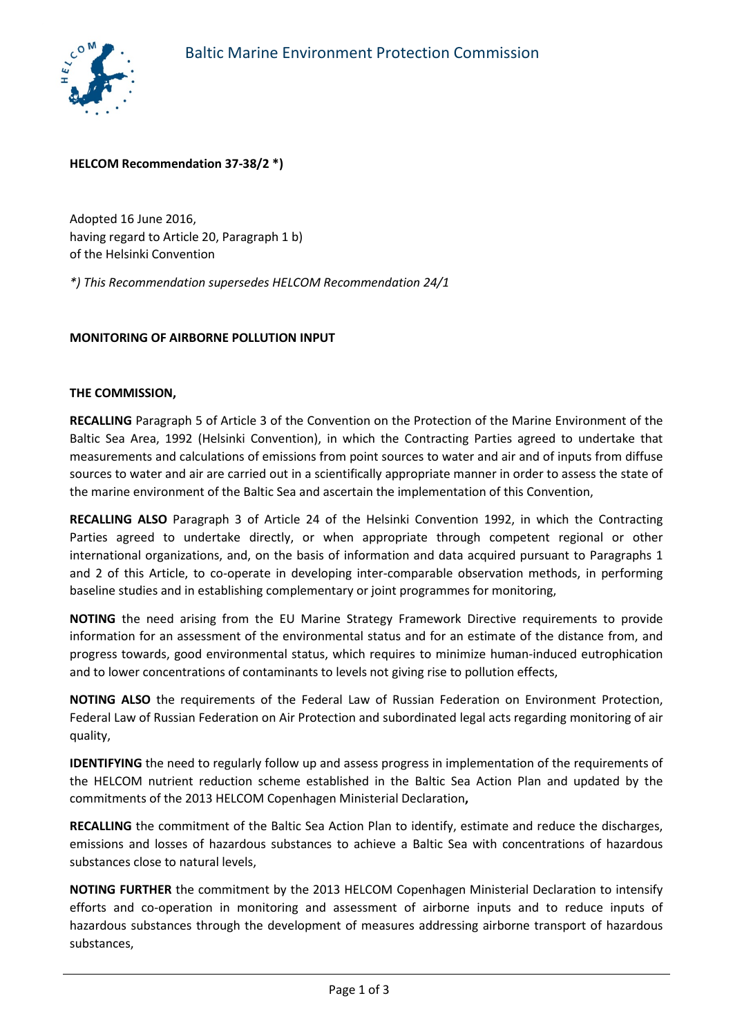

# **HELCOM Recommendation 37-38/2 \*)**

Adopted 16 June 2016, having regard to Article 20, Paragraph 1 b) of the Helsinki Convention

*\*) This Recommendation supersedes HELCOM Recommendation 24/1*

## **MONITORING OF AIRBORNE POLLUTION INPUT**

#### **THE COMMISSION,**

**RECALLING** Paragraph 5 of Article 3 of the Convention on the Protection of the Marine Environment of the Baltic Sea Area, 1992 (Helsinki Convention), in which the Contracting Parties agreed to undertake that measurements and calculations of emissions from point sources to water and air and of inputs from diffuse sources to water and air are carried out in a scientifically appropriate manner in order to assess the state of the marine environment of the Baltic Sea and ascertain the implementation of this Convention,

**RECALLING ALSO** Paragraph 3 of Article 24 of the Helsinki Convention 1992, in which the Contracting Parties agreed to undertake directly, or when appropriate through competent regional or other international organizations, and, on the basis of information and data acquired pursuant to Paragraphs 1 and 2 of this Article, to co-operate in developing inter-comparable observation methods, in performing baseline studies and in establishing complementary or joint programmes for monitoring,

**NOTING** the need arising from the EU Marine Strategy Framework Directive requirements to provide information for an assessment of the environmental status and for an estimate of the distance from, and progress towards, good environmental status, which requires to minimize human-induced eutrophication and to lower concentrations of contaminants to levels not giving rise to pollution effects,

**NOTING ALSO** the requirements of the Federal Law of Russian Federation on Environment Protection, Federal Law of Russian Federation on Air Protection and subordinated legal acts regarding monitoring of air quality,

**IDENTIFYING** the need to regularly follow up and assess progress in implementation of the requirements of the HELCOM nutrient reduction scheme established in the Baltic Sea Action Plan and updated by the commitments of the 2013 HELCOM Copenhagen Ministerial Declaration**,**

**RECALLING** the commitment of the Baltic Sea Action Plan to identify, estimate and reduce the discharges, emissions and losses of hazardous substances to achieve a Baltic Sea with concentrations of hazardous substances close to natural levels,

**NOTING FURTHER** the commitment by the 2013 HELCOM Copenhagen Ministerial Declaration to intensify efforts and co-operation in monitoring and assessment of airborne inputs and to reduce inputs of hazardous substances through the development of measures addressing airborne transport of hazardous substances,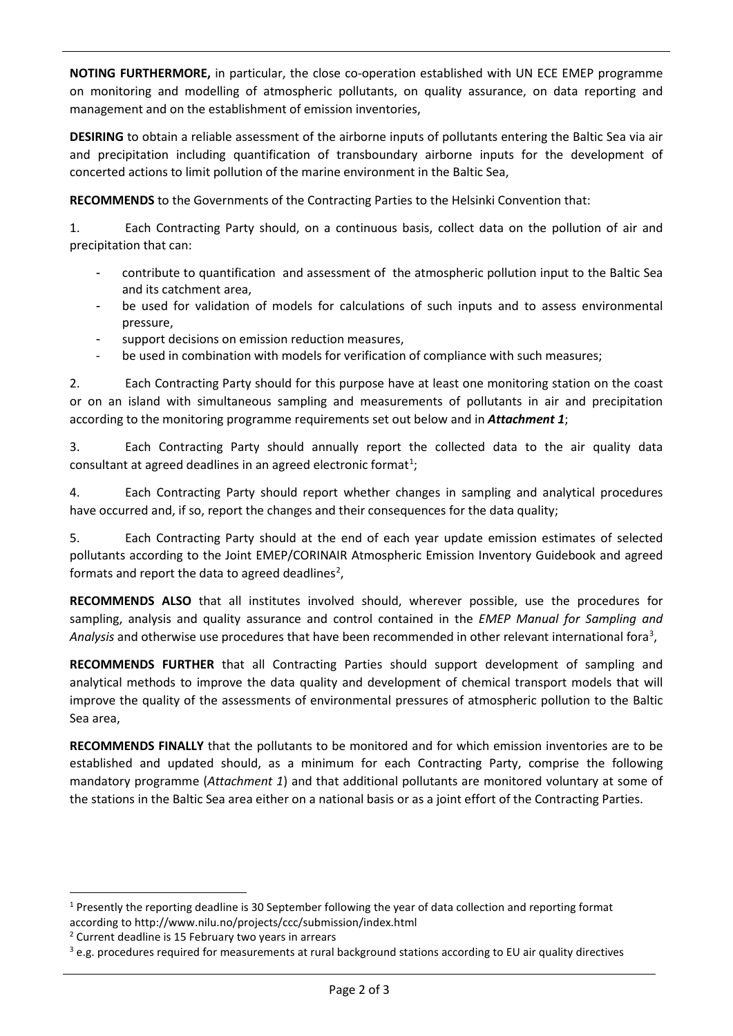**NOTING FURTHERMORE,** in particular, the close co-operation established with UN ECE EMEP programme on monitoring and modelling of atmospheric pollutants, on quality assurance, on data reporting and management and on the establishment of emission inventories,

**DESIRING** to obtain a reliable assessment of the airborne inputs of pollutants entering the Baltic Sea via air and precipitation including quantification of transboundary airborne inputs for the development of concerted actions to limit pollution of the marine environment in the Baltic Sea,

**RECOMMENDS** to the Governments of the Contracting Parties to the Helsinki Convention that:

1. Each Contracting Party should, on a continuous basis, collect data on the pollution of air and precipitation that can:

- contribute to quantification and assessment of the atmospheric pollution input to the Baltic Sea and its catchment area,
- be used for validation of models for calculations of such inputs and to assess environmental pressure,
- support decisions on emission reduction measures,
- be used in combination with models for verification of compliance with such measures;

2. Each Contracting Party should for this purpose have at least one monitoring station on the coast or on an island with simultaneous sampling and measurements of pollutants in air and precipitation according to the monitoring programme requirements set out below and in *Attachment 1*;

3. Each Contracting Party should annually report the collected data to the air quality data consultant at agreed deadlines in an agreed electronic format<sup>[1](#page-1-0)</sup>;

4. Each Contracting Party should report whether changes in sampling and analytical procedures have occurred and, if so, report the changes and their consequences for the data quality;

5. Each Contracting Party should at the end of each year update emission estimates of selected pollutants according to the Joint EMEP/CORINAIR Atmospheric Emission Inventory Guidebook and agreed formats and report the data to agreed deadlines<sup>[2](#page-1-1)</sup>,

**RECOMMENDS ALSO** that all institutes involved should, wherever possible, use the procedures for sampling, analysis and quality assurance and control contained in the *EMEP Manual for Sampling and*  Analysis and otherwise use procedures that have been recommended in other relevant international fora<sup>[3](#page-1-2)</sup>,

**RECOMMENDS FURTHER** that all Contracting Parties should support development of sampling and analytical methods to improve the data quality and development of chemical transport models that will improve the quality of the assessments of environmental pressures of atmospheric pollution to the Baltic Sea area,

**RECOMMENDS FINALLY** that the pollutants to be monitored and for which emission inventories are to be established and updated should, as a minimum for each Contracting Party, comprise the following mandatory programme (*Attachment 1*) and that additional pollutants are monitored voluntary at some of the stations in the Baltic Sea area either on a national basis or as a joint effort of the Contracting Parties.

<span id="page-1-0"></span> <sup>1</sup> Presently the reporting deadline is 30 September following the year of data collection and reporting format according to http://www.nilu.no/projects/ccc/submission/index.html

<span id="page-1-1"></span><sup>2</sup> Current deadline is 15 February two years in arrears

<span id="page-1-2"></span> $3$  e.g. procedures required for measurements at rural background stations according to EU air quality directives